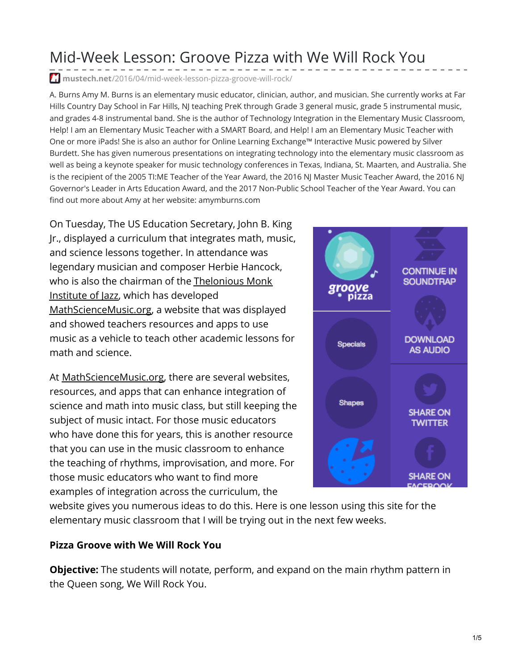## Mid-Week Lesson: Groove Pizza with We Will Rock You

**mustech.net**[/2016/04/mid-week-lesson-pizza-groove-will-rock/](https://mustech.net/2016/04/mid-week-lesson-pizza-groove-will-rock/)

A. Burns Amy M. Burns is an elementary music educator, clinician, author, and musician. She currently works at Far Hills Country Day School in Far Hills, NJ teaching PreK through Grade 3 general music, grade 5 instrumental music, and grades 4-8 instrumental band. She is the author of Technology Integration in the Elementary Music Classroom, Help! I am an Elementary Music Teacher with a SMART Board, and Help! I am an Elementary Music Teacher with One or more iPads! She is also an author for Online Learning Exchange™ Interactive Music powered by Silver Burdett. She has given numerous presentations on integrating technology into the elementary music classroom as well as being a keynote speaker for music technology conferences in Texas, Indiana, St. Maarten, and Australia. She is the recipient of the 2005 TI:ME Teacher of the Year Award, the 2016 NJ Master Music Teacher Award, the 2016 NJ Governor's Leader in Arts Education Award, and the 2017 Non-Public School Teacher of the Year Award. You can find out more about Amy at her website: amymburns.com

On Tuesday, The US Education Secretary, John B. King Jr., displayed a curriculum that integrates math, music, and science lessons together. In attendance was legendary musician and composer Herbie Hancock, who is also the chairman of the [Thelonious](http://monkinstitute.org/) Monk Institute of Jazz, which has developed [MathScienceMusic.org](https://mathsciencemusic.org/), a website that was displayed and showed teachers resources and apps to use music as a vehicle to teach other academic lessons for math and science.

At [MathScienceMusic.org](https://mathsciencemusic.org/), there are several websites, resources, and apps that can enhance integration of science and math into music class, but still keeping the subject of music intact. For those music educators who have done this for years, this is another resource that you can use in the music classroom to enhance the teaching of rhythms, improvisation, and more. For those music educators who want to find more examples of integration across the curriculum, the



website gives you numerous ideas to do this. Here is one lesson using this site for the elementary music classroom that I will be trying out in the next few weeks.

## **Pizza Groove with We Will Rock You**

**Objective:** The students will notate, perform, and expand on the main rhythm pattern in the Queen song, We Will Rock You.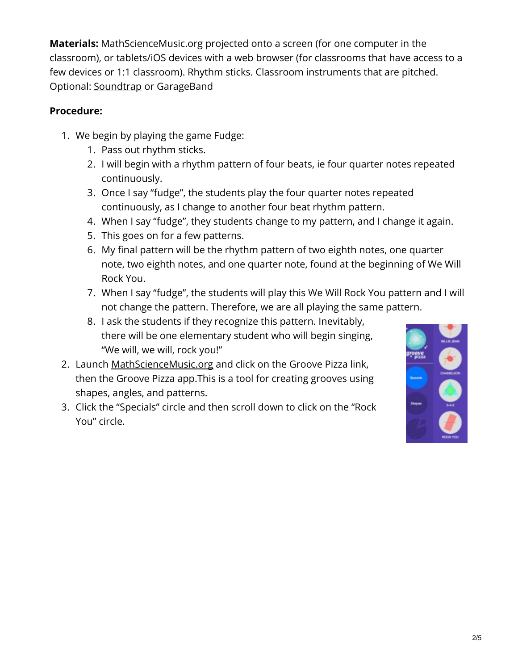**Materials:** [MathScienceMusic.org](https://mathsciencemusic.org/) projected onto a screen (for one computer in the classroom), or tablets/iOS devices with a web browser (for classrooms that have access to a few devices or 1:1 classroom). Rhythm sticks. Classroom instruments that are pitched. Optional: [Soundtrap](http://www.soundtrap.com/) or GarageBand

## **Procedure:**

- 1. We begin by playing the game Fudge:
	- 1. Pass out rhythm sticks.
	- 2. I will begin with a rhythm pattern of four beats, ie four quarter notes repeated continuously.
	- 3. Once I say "fudge", the students play the four quarter notes repeated continuously, as I change to another four beat rhythm pattern.
	- 4. When I say "fudge", they students change to my pattern, and I change it again.
	- 5. This goes on for a few patterns.
	- 6. My final pattern will be the rhythm pattern of two eighth notes, one quarter note, two eighth notes, and one quarter note, found at the beginning of We Will Rock You.
	- 7. When I say "fudge", the students will play this We Will Rock You pattern and I will not change the pattern. Therefore, we are all playing the same pattern.
	- 8. I ask the students if they recognize this pattern. Inevitably, there will be one elementary student who will begin singing, "We will, we will, rock you!"
- 2. Launch [MathScienceMusic.org](https://mathsciencemusic.org/) and click on the Groove Pizza link, then the Groove Pizza app.This is a tool for creating grooves using shapes, angles, and patterns.
- 3. Click the "Specials" circle and then scroll down to click on the "Rock You" circle.

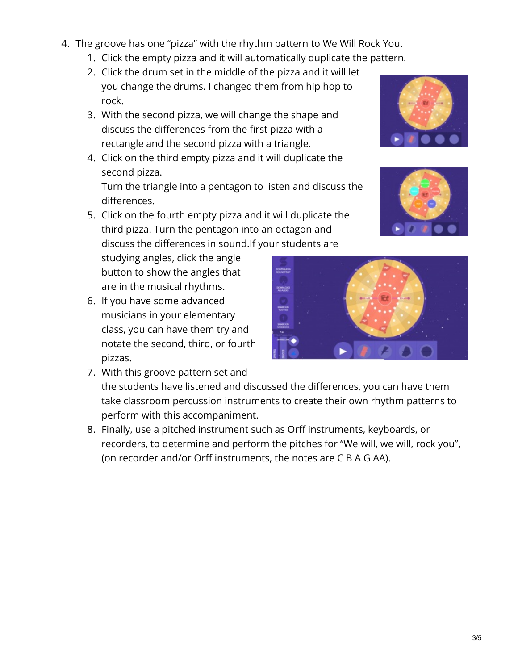- 4. The groove has one "pizza" with the rhythm pattern to We Will Rock You.
	- 1. Click the empty pizza and it will automatically duplicate the pattern.
	- 2. Click the drum set in the middle of the pizza and it will let you change the drums. I changed them from hip hop to rock.
	- 3. With the second pizza, we will change the shape and discuss the differences from the first pizza with a rectangle and the second pizza with a triangle.
	- 4. Click on the third empty pizza and it will duplicate the second pizza.

Turn the triangle into a pentagon to listen and discuss the differences.

5. Click on the fourth empty pizza and it will duplicate the third pizza. Turn the pentagon into an octagon and discuss the differences in sound.If your students are

studying angles, click the angle button to show the angles that are in the musical rhythms.

- 6. If you have some advanced musicians in your elementary class, you can have them try and notate the second, third, or fourth pizzas.
- 7. With this groove pattern set and the students have listened and discussed the differences, you can have them take classroom percussion instruments to create their own rhythm patterns to perform with this accompaniment.
- 8. Finally, use a pitched instrument such as Orff instruments, keyboards, or recorders, to determine and perform the pitches for "We will, we will, rock you", (on recorder and/or Orff instruments, the notes are C B A G AA).





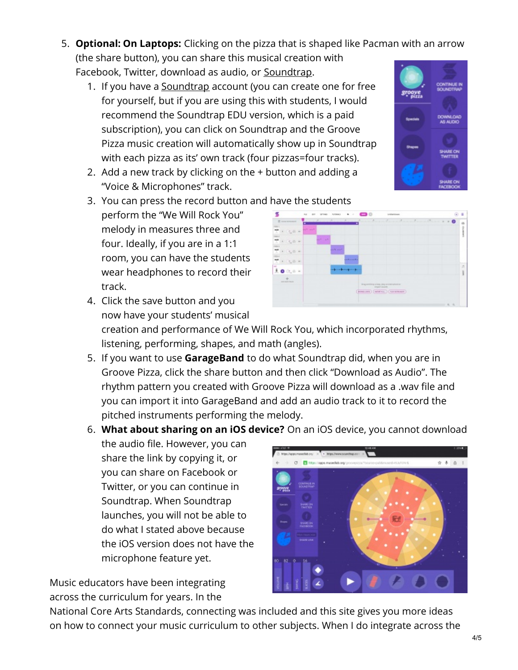- 5. **Optional: On Laptops:** Clicking on the pizza that is shaped like Pacman with an arrow (the share button), you can share this musical creation with Facebook, Twitter, download as audio, or [Soundtrap](http://www.soundtrap.com/).
	- 1. If you have a <u>[Soundtrap](http://www.soundtrap.com/)</u> account (you can create one for free for yourself, but if you are using this with students, I would recommend the Soundtrap EDU version, which is a paid subscription), you can click on Soundtrap and the Groove Pizza music creation will automatically show up in Soundtrap with each pizza as its' own track (four pizzas=four tracks).
	- 2. Add a new track by clicking on the + button and adding a "Voice & Microphones" track.
	- 3. You can press the record button and have the students perform the "We Will Rock You" melody in measures three and four. Ideally, if you are in a 1:1 room, you can have the students wear headphones to record their track.

now have your students' musical

4. Click the save button and you

- creation and performance of We Will Rock You, which incorporated rhythms, listening, performing, shapes, and math (angles).
- 5. If you want to use **GarageBand** to do what Soundtrap did, when you are in Groove Pizza, click the share button and then click "Download as Audio". The rhythm pattern you created with Groove Pizza will download as a .wav file and you can import it into GarageBand and add an audio track to it to record the pitched instruments performing the melody.
- 6. **What about sharing on an iOS device?** On an iOS device, you cannot download the audio file. However, you can share the link by copying it, or  $\blacksquare$ you can share on Facebook or Twitter, or you can continue in Soundtrap. When Soundtrap launches, you will not be able to do what I stated above because the iOS version does not have the microphone feature yet.

National Core Arts Standards, connecting was included and this site gives you more ideas on how to connect your music curriculum to other subjects. When I do integrate across the

Music educators have been integrating across the curriculum for years. In the





**ROBERTON (INTERNAL ) COURSE**